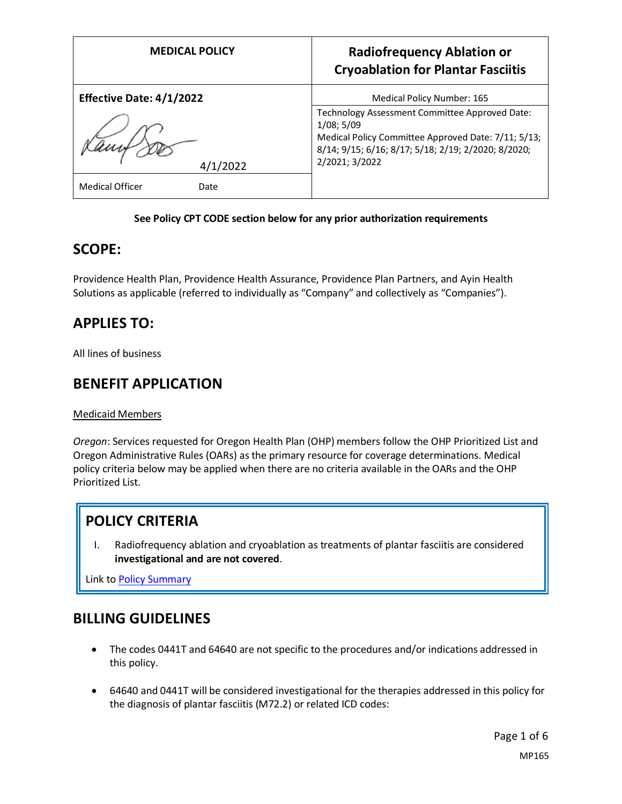| <b>MEDICAL POLICY</b>           | <b>Radiofrequency Ablation or</b><br><b>Cryoablation for Plantar Fasciitis</b>                                                                                                               |
|---------------------------------|----------------------------------------------------------------------------------------------------------------------------------------------------------------------------------------------|
| <b>Effective Date: 4/1/2022</b> | Medical Policy Number: 165                                                                                                                                                                   |
| 4/1/2022                        | Technology Assessment Committee Approved Date:<br>1/08; 5/09<br>Medical Policy Committee Approved Date: 7/11; 5/13;<br>8/14; 9/15; 6/16; 8/17; 5/18; 2/19; 2/2020; 8/2020;<br>2/2021; 3/2022 |
| <b>Medical Officer</b><br>Date  |                                                                                                                                                                                              |

#### **See Policy CPT CODE section below for any prior authorization requirements**

### **SCOPE:**

Providence Health Plan, Providence Health Assurance, Providence Plan Partners, and Ayin Health Solutions as applicable (referred to individually as "Company" and collectively as "Companies").

# **APPLIES TO:**

All lines of business

## **BENEFIT APPLICATION**

Medicaid Members

*Oregon*: Services requested for Oregon Health Plan (OHP) members follow the OHP Prioritized List and Oregon Administrative Rules (OARs) as the primary resource for coverage determinations. Medical policy criteria below may be applied when there are no criteria available in the OARs and the OHP Prioritized List.

# **POLICY CRITERIA**

I. Radiofrequency ablation and cryoablation as treatments of plantar fasciitis are considered **investigational and are not covered**.

Link t[o Policy Summary](#page-4-0)

## **BILLING GUIDELINES**

- The codes 0441T and 64640 are not specific to the procedures and/or indications addressed in this policy.
- 64640 and 0441T will be considered investigational for the therapies addressed in this policy for the diagnosis of plantar fasciitis (M72.2) or related ICD codes: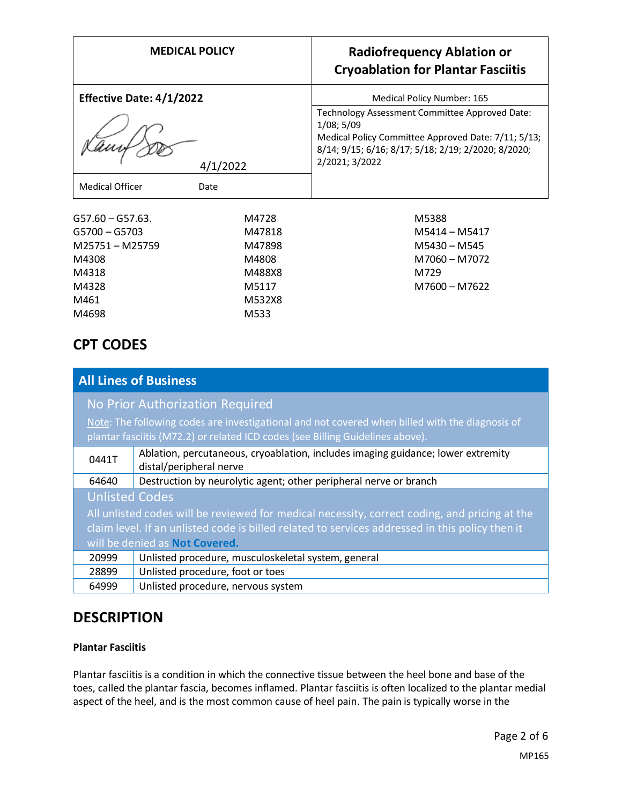| <b>MEDICAL POLICY</b>                                                                                        |                                                                 | <b>Radiofrequency Ablation or</b><br><b>Cryoablation for Plantar Fasciitis</b>                                                                                                                  |
|--------------------------------------------------------------------------------------------------------------|-----------------------------------------------------------------|-------------------------------------------------------------------------------------------------------------------------------------------------------------------------------------------------|
| <b>Effective Date: 4/1/2022</b>                                                                              |                                                                 | Medical Policy Number: 165                                                                                                                                                                      |
| 4/1/2022                                                                                                     |                                                                 | Technology Assessment Committee Approved Date:<br>$1/08$ ; 5/09<br>Medical Policy Committee Approved Date: 7/11; 5/13;<br>8/14; 9/15; 6/16; 8/17; 5/18; 2/19; 2/2020; 8/2020;<br>2/2021; 3/2022 |
| <b>Medical Officer</b><br>Date                                                                               |                                                                 |                                                                                                                                                                                                 |
| $G57.60 - G57.63.$<br>$G5700 - G5703$<br>M25751 - M25759<br>M4308<br>M4318<br>M4328<br>M461<br>M4698<br>M533 | M4728<br>M47818<br>M47898<br>M4808<br>M488X8<br>M5117<br>M532X8 | M5388<br>M5414 - M5417<br>M5430 - M545<br>M7060 - M7072<br>M729<br>M7600 - M7622                                                                                                                |

# **CPT CODES**

| <b>All Lines of Business</b>                                                                                                                                                      |                                                                                                             |  |
|-----------------------------------------------------------------------------------------------------------------------------------------------------------------------------------|-------------------------------------------------------------------------------------------------------------|--|
| <b>No Prior Authorization Required</b>                                                                                                                                            |                                                                                                             |  |
| Note: The following codes are investigational and not covered when billed with the diagnosis of<br>plantar fasciitis (M72.2) or related ICD codes (see Billing Guidelines above). |                                                                                                             |  |
| 0441T                                                                                                                                                                             | Ablation, percutaneous, cryoablation, includes imaging guidance; lower extremity<br>distal/peripheral nerve |  |
| 64640                                                                                                                                                                             | Destruction by neurolytic agent; other peripheral nerve or branch                                           |  |
| <b>Unlisted Codes</b>                                                                                                                                                             |                                                                                                             |  |
| All unlisted codes will be reviewed for medical necessity, correct coding, and pricing at the                                                                                     |                                                                                                             |  |
| claim level. If an unlisted code is billed related to services addressed in this policy then it                                                                                   |                                                                                                             |  |
| will be denied as <b>Not Covered.</b>                                                                                                                                             |                                                                                                             |  |
| 20999                                                                                                                                                                             | Unlisted procedure, musculoskeletal system, general                                                         |  |
| 28899                                                                                                                                                                             | Unlisted procedure, foot or toes                                                                            |  |
| 64999                                                                                                                                                                             | Unlisted procedure, nervous system                                                                          |  |

# **DESCRIPTION**

#### **Plantar Fasciitis**

Plantar fasciitis is a condition in which the connective tissue between the heel bone and base of the toes, called the plantar fascia, becomes inflamed. Plantar fasciitis is often localized to the plantar medial aspect of the heel, and is the most common cause of heel pain. The pain is typically worse in the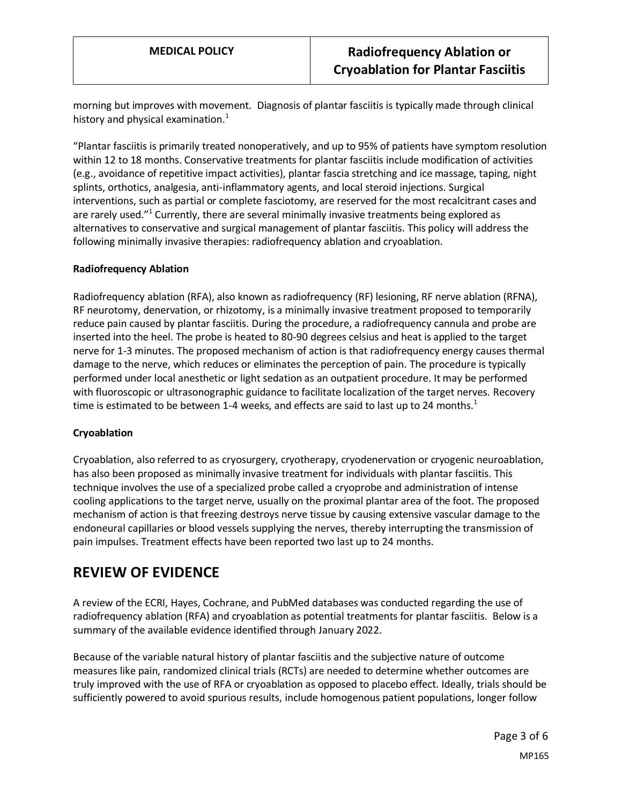morning but improves with movement. Diagnosis of plantar fasciitis is typically made through clinical history and physical examination. $1$ 

"Plantar fasciitis is primarily treated nonoperatively, and up to 95% of patients have symptom resolution within 12 to 18 months. Conservative treatments for plantar fasciitis include modification of activities (e.g., avoidance of repetitive impact activities), plantar fascia stretching and ice massage, taping, night splints, orthotics, analgesia, anti-inflammatory agents, and local steroid injections. Surgical interventions, such as partial or complete fasciotomy, are reserved for the most recalcitrant cases and are rarely used."<sup>1</sup> Currently, there are several minimally invasive treatments being explored as alternatives to conservative and surgical management of plantar fasciitis. This policy will address the following minimally invasive therapies: radiofrequency ablation and cryoablation.

#### **Radiofrequency Ablation**

Radiofrequency ablation (RFA), also known as radiofrequency (RF) lesioning, RF nerve ablation (RFNA), RF neurotomy, denervation, or rhizotomy, is a minimally invasive treatment proposed to temporarily reduce pain caused by plantar fasciitis. During the procedure, a radiofrequency cannula and probe are inserted into the heel. The probe is heated to 80-90 degrees celsius and heat is applied to the target nerve for 1-3 minutes. The proposed mechanism of action is that radiofrequency energy causes thermal damage to the nerve, which reduces or eliminates the perception of pain. The procedure is typically performed under local anesthetic or light sedation as an outpatient procedure. It may be performed with fluoroscopic or ultrasonographic guidance to facilitate localization of the target nerves. Recovery time is estimated to be between 1-4 weeks, and effects are said to last up to 24 months.<sup>1</sup>

#### **Cryoablation**

Cryoablation, also referred to as cryosurgery, cryotherapy, cryodenervation or cryogenic neuroablation, has also been proposed as minimally invasive treatment for individuals with plantar fasciitis. This technique involves the use of a specialized probe called a cryoprobe and administration of intense cooling applications to the target nerve, usually on the proximal plantar area of the foot. The proposed mechanism of action is that freezing destroys nerve tissue by causing extensive vascular damage to the endoneural capillaries or blood vessels supplying the nerves, thereby interrupting the transmission of pain impulses. Treatment effects have been reported two last up to 24 months.

## **REVIEW OF EVIDENCE**

A review of the ECRI, Hayes, Cochrane, and PubMed databases was conducted regarding the use of radiofrequency ablation (RFA) and cryoablation as potential treatments for plantar fasciitis. Below is a summary of the available evidence identified through January 2022.

Because of the variable natural history of plantar fasciitis and the subjective nature of outcome measures like pain, randomized clinical trials (RCTs) are needed to determine whether outcomes are truly improved with the use of RFA or cryoablation as opposed to placebo effect. Ideally, trials should be sufficiently powered to avoid spurious results, include homogenous patient populations, longer follow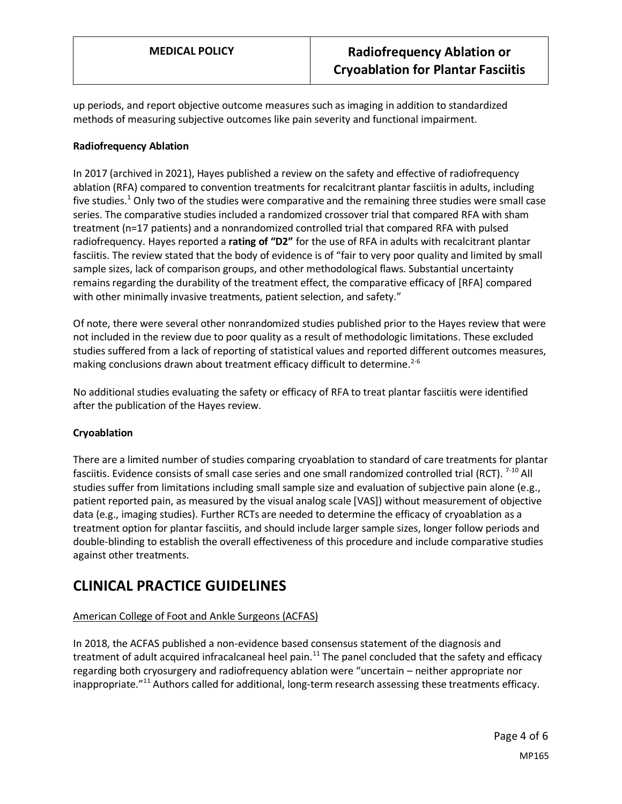up periods, and report objective outcome measures such as imaging in addition to standardized methods of measuring subjective outcomes like pain severity and functional impairment.

#### **Radiofrequency Ablation**

In 2017 (archived in 2021), Hayes published a review on the safety and effective of radiofrequency ablation (RFA) compared to convention treatments for recalcitrant plantar fasciitis in adults, including five studies.<sup>1</sup> Only two of the studies were comparative and the remaining three studies were small case series. The comparative studies included a randomized crossover trial that compared RFA with sham treatment (n=17 patients) and a nonrandomized controlled trial that compared RFA with pulsed radiofrequency. Hayes reported a **rating of "D2"** for the use of RFA in adults with recalcitrant plantar fasciitis. The review stated that the body of evidence is of "fair to very poor quality and limited by small sample sizes, lack of comparison groups, and other methodological flaws. Substantial uncertainty remains regarding the durability of the treatment effect, the comparative efficacy of [RFA] compared with other minimally invasive treatments, patient selection, and safety."

Of note, there were several other nonrandomized studies published prior to the Hayes review that were not included in the review due to poor quality as a result of methodologic limitations. These excluded studies suffered from a lack of reporting of statistical values and reported different outcomes measures, making conclusions drawn about treatment efficacy difficult to determine.<sup>2-6</sup>

No additional studies evaluating the safety or efficacy of RFA to treat plantar fasciitis were identified after the publication of the Hayes review.

#### **Cryoablation**

There are a limited number of studies comparing cryoablation to standard of care treatments for plantar fasciitis. Evidence consists of small case series and one small randomized controlled trial (RCT). <sup>7-10</sup> All studies suffer from limitations including small sample size and evaluation of subjective pain alone (e.g., patient reported pain, as measured by the visual analog scale [VAS]) without measurement of objective data (e.g., imaging studies). Further RCTs are needed to determine the efficacy of cryoablation as a treatment option for plantar fasciitis, and should include larger sample sizes, longer follow periods and double-blinding to establish the overall effectiveness of this procedure and include comparative studies against other treatments.

## **CLINICAL PRACTICE GUIDELINES**

#### American College of Foot and Ankle Surgeons (ACFAS)

In 2018, the ACFAS published a non-evidence based consensus statement of the diagnosis and treatment of adult acquired infracalcaneal heel pain.<sup>11</sup> The panel concluded that the safety and efficacy regarding both cryosurgery and radiofrequency ablation were "uncertain – neither appropriate nor inappropriate."<sup>11</sup> Authors called for additional, long-term research assessing these treatments efficacy.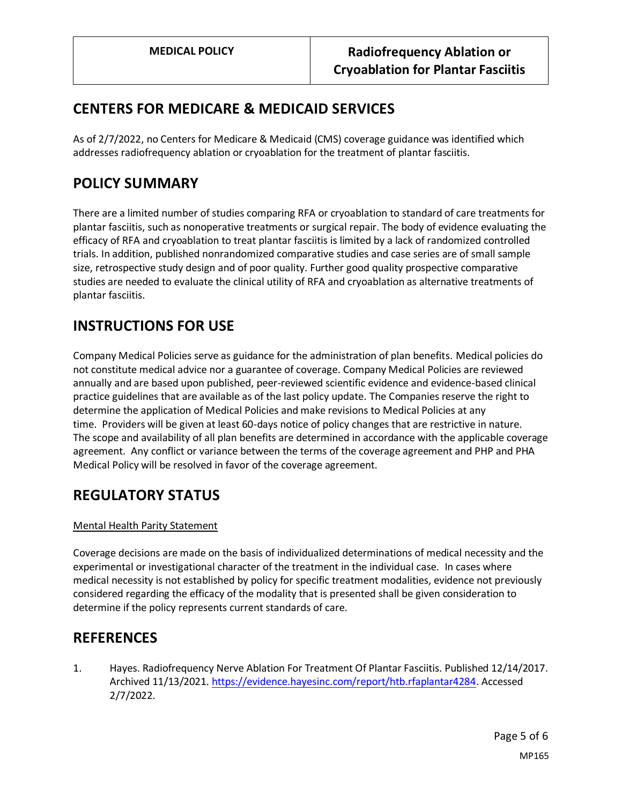# **CENTERS FOR MEDICARE & MEDICAID SERVICES**

As of 2/7/2022, no Centers for Medicare & Medicaid (CMS) coverage guidance was identified which addresses radiofrequency ablation or cryoablation for the treatment of plantar fasciitis.

# <span id="page-4-0"></span>**POLICY SUMMARY**

There are a limited number of studies comparing RFA or cryoablation to standard of care treatments for plantar fasciitis, such as nonoperative treatments or surgical repair. The body of evidence evaluating the efficacy of RFA and cryoablation to treat plantar fasciitis is limited by a lack of randomized controlled trials. In addition, published nonrandomized comparative studies and case series are of small sample size, retrospective study design and of poor quality. Further good quality prospective comparative studies are needed to evaluate the clinical utility of RFA and cryoablation as alternative treatments of plantar fasciitis.

## **INSTRUCTIONS FOR USE**

Company Medical Policies serve as guidance for the administration of plan benefits. Medical policies do not constitute medical advice nor a guarantee of coverage. Company Medical Policies are reviewed annually and are based upon published, peer-reviewed scientific evidence and evidence-based clinical practice guidelines that are available as of the last policy update. The Companies reserve the right to determine the application of Medical Policies and make revisions to Medical Policies at any time. Providers will be given at least 60-days notice of policy changes that are restrictive in nature. The scope and availability of all plan benefits are determined in accordance with the applicable coverage agreement. Any conflict or variance between the terms of the coverage agreement and PHP and PHA Medical Policy will be resolved in favor of the coverage agreement.

# **REGULATORY STATUS**

#### Mental Health Parity Statement

Coverage decisions are made on the basis of individualized determinations of medical necessity and the experimental or investigational character of the treatment in the individual case. In cases where medical necessity is not established by policy for specific treatment modalities, evidence not previously considered regarding the efficacy of the modality that is presented shall be given consideration to determine if the policy represents current standards of care.

## **REFERENCES**

1. Hayes. Radiofrequency Nerve Ablation For Treatment Of Plantar Fasciitis. Published 12/14/2017. Archived 11/13/2021. [https://evidence.hayesinc.com/report/htb.rfaplantar4284.](https://evidence.hayesinc.com/report/htb.rfaplantar4284) Accessed 2/7/2022.